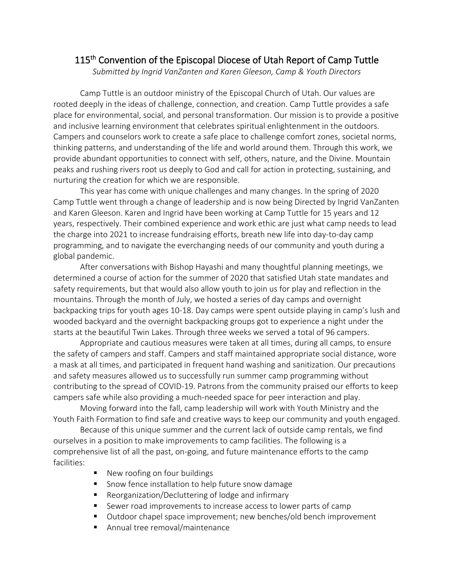## 115<sup>th</sup> Convention of the Episcopal Diocese of Utah Report of Camp Tuttle

*Submitted by Ingrid VanZanten and Karen Gleeson, Camp & Youth Directors*

Camp Tuttle is an outdoor ministry of the Episcopal Church of Utah. Our values are rooted deeply in the ideas of challenge, connection, and creation. Camp Tuttle provides a safe place for environmental, social, and personal transformation. Our mission is to provide a positive and inclusive learning environment that celebrates spiritual enlightenment in the outdoors. Campers and counselors work to create a safe place to challenge comfort zones, societal norms, thinking patterns, and understanding of the life and world around them. Through this work, we provide abundant opportunities to connect with self, others, nature, and the Divine. Mountain peaks and rushing rivers root us deeply to God and call for action in protecting, sustaining, and nurturing the creation for which we are responsible.

This year has come with unique challenges and many changes. In the spring of 2020 Camp Tuttle went through a change of leadership and is now being Directed by Ingrid VanZanten and Karen Gleeson. Karen and Ingrid have been working at Camp Tuttle for 15 years and 12 years, respectively. Their combined experience and work ethic are just what camp needs to lead the charge into 2021 to increase fundraising efforts, breath new life into day-to-day camp programming, and to navigate the everchanging needs of our community and youth during a global pandemic.

After conversations with Bishop Hayashi and many thoughtful planning meetings, we determined a course of action for the summer of 2020 that satisfied Utah state mandates and safety requirements, but that would also allow youth to join us for play and reflection in the mountains. Through the month of July, we hosted a series of day camps and overnight backpacking trips for youth ages 10-18. Day camps were spent outside playing in camp's lush and wooded backyard and the overnight backpacking groups got to experience a night under the starts at the beautiful Twin Lakes. Through three weeks we served a total of 96 campers.

Appropriate and cautious measures were taken at all times, during all camps, to ensure the safety of campers and staff. Campers and staff maintained appropriate social distance, wore a mask at all times, and participated in frequent hand washing and sanitization. Our precautions and safety measures allowed us to successfully run summer camp programming without contributing to the spread of COVID-19. Patrons from the community praised our efforts to keep campers safe while also providing a much-needed space for peer interaction and play.

Moving forward into the fall, camp leadership will work with Youth Ministry and the Youth Faith Formation to find safe and creative ways to keep our community and youth engaged.

Because of this unique summer and the current lack of outside camp rentals, we find ourselves in a position to make improvements to camp facilities. The following is a comprehensive list of all the past, on-going, and future maintenance efforts to the camp facilities:

- New roofing on four buildings
- Snow fence installation to help future snow damage
- Reorganization/Decluttering of lodge and infirmary
- Sewer road improvements to increase access to lower parts of camp
- Outdoor chapel space improvement; new benches/old bench improvement
- Annual tree removal/maintenance